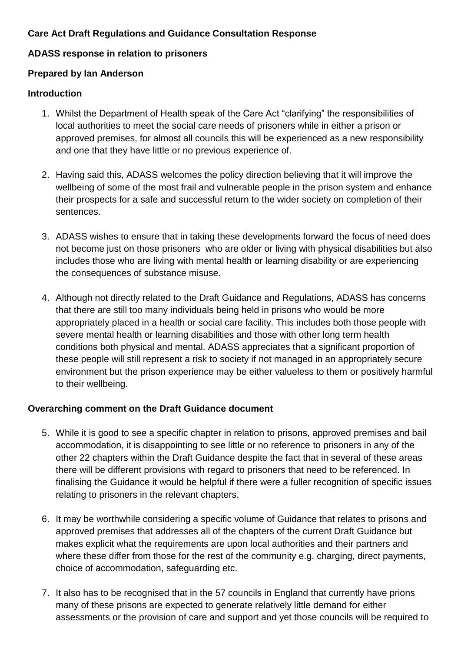# **Care Act Draft Regulations and Guidance Consultation Response**

### **ADASS response in relation to prisoners**

### **Prepared by Ian Anderson**

### **Introduction**

- 1. Whilst the Department of Health speak of the Care Act "clarifying" the responsibilities of local authorities to meet the social care needs of prisoners while in either a prison or approved premises, for almost all councils this will be experienced as a new responsibility and one that they have little or no previous experience of.
- 2. Having said this, ADASS welcomes the policy direction believing that it will improve the wellbeing of some of the most frail and vulnerable people in the prison system and enhance their prospects for a safe and successful return to the wider society on completion of their sentences.
- 3. ADASS wishes to ensure that in taking these developments forward the focus of need does not become just on those prisoners who are older or living with physical disabilities but also includes those who are living with mental health or learning disability or are experiencing the consequences of substance misuse.
- 4. Although not directly related to the Draft Guidance and Regulations, ADASS has concerns that there are still too many individuals being held in prisons who would be more appropriately placed in a health or social care facility. This includes both those people with severe mental health or learning disabilities and those with other long term health conditions both physical and mental. ADASS appreciates that a significant proportion of these people will still represent a risk to society if not managed in an appropriately secure environment but the prison experience may be either valueless to them or positively harmful to their wellbeing.

## **Overarching comment on the Draft Guidance document**

- 5. While it is good to see a specific chapter in relation to prisons, approved premises and bail accommodation, it is disappointing to see little or no reference to prisoners in any of the other 22 chapters within the Draft Guidance despite the fact that in several of these areas there will be different provisions with regard to prisoners that need to be referenced. In finalising the Guidance it would be helpful if there were a fuller recognition of specific issues relating to prisoners in the relevant chapters.
- 6. It may be worthwhile considering a specific volume of Guidance that relates to prisons and approved premises that addresses all of the chapters of the current Draft Guidance but makes explicit what the requirements are upon local authorities and their partners and where these differ from those for the rest of the community e.g. charging, direct payments, choice of accommodation, safeguarding etc.
- 7. It also has to be recognised that in the 57 councils in England that currently have prions many of these prisons are expected to generate relatively little demand for either assessments or the provision of care and support and yet those councils will be required to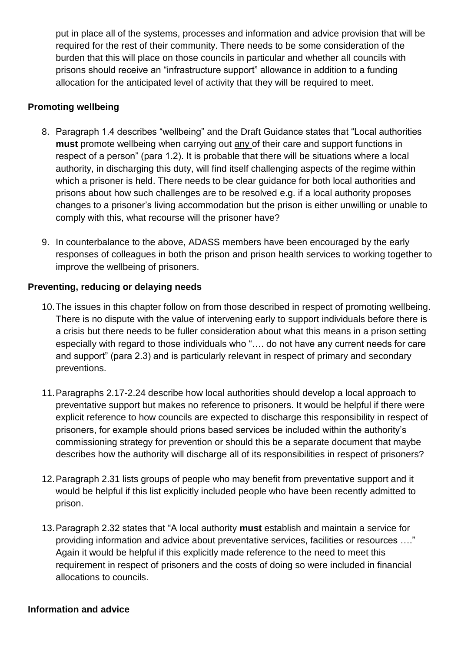put in place all of the systems, processes and information and advice provision that will be required for the rest of their community. There needs to be some consideration of the burden that this will place on those councils in particular and whether all councils with prisons should receive an "infrastructure support" allowance in addition to a funding allocation for the anticipated level of activity that they will be required to meet.

# **Promoting wellbeing**

- 8. Paragraph 1.4 describes "wellbeing" and the Draft Guidance states that "Local authorities **must** promote wellbeing when carrying out any of their care and support functions in respect of a person" (para 1.2). It is probable that there will be situations where a local authority, in discharging this duty, will find itself challenging aspects of the regime within which a prisoner is held. There needs to be clear guidance for both local authorities and prisons about how such challenges are to be resolved e.g. if a local authority proposes changes to a prisoner's living accommodation but the prison is either unwilling or unable to comply with this, what recourse will the prisoner have?
- 9. In counterbalance to the above, ADASS members have been encouraged by the early responses of colleagues in both the prison and prison health services to working together to improve the wellbeing of prisoners.

## **Preventing, reducing or delaying needs**

- 10.The issues in this chapter follow on from those described in respect of promoting wellbeing. There is no dispute with the value of intervening early to support individuals before there is a crisis but there needs to be fuller consideration about what this means in a prison setting especially with regard to those individuals who "…. do not have any current needs for care and support" (para 2.3) and is particularly relevant in respect of primary and secondary preventions.
- 11.Paragraphs 2.17-2.24 describe how local authorities should develop a local approach to preventative support but makes no reference to prisoners. It would be helpful if there were explicit reference to how councils are expected to discharge this responsibility in respect of prisoners, for example should prions based services be included within the authority's commissioning strategy for prevention or should this be a separate document that maybe describes how the authority will discharge all of its responsibilities in respect of prisoners?
- 12.Paragraph 2.31 lists groups of people who may benefit from preventative support and it would be helpful if this list explicitly included people who have been recently admitted to prison.
- 13.Paragraph 2.32 states that "A local authority **must** establish and maintain a service for providing information and advice about preventative services, facilities or resources …." Again it would be helpful if this explicitly made reference to the need to meet this requirement in respect of prisoners and the costs of doing so were included in financial allocations to councils.

### **Information and advice**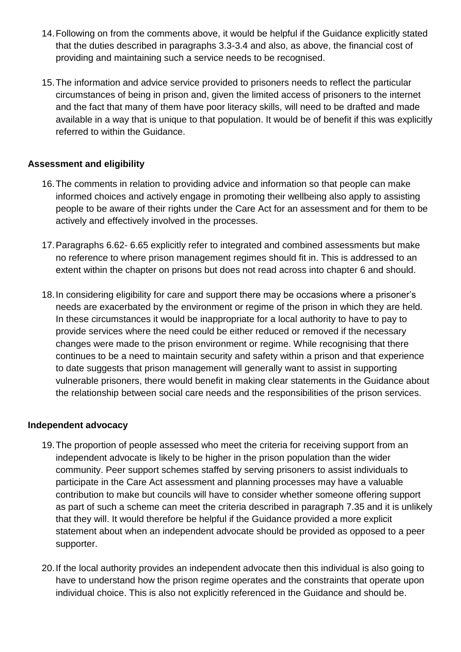- 14.Following on from the comments above, it would be helpful if the Guidance explicitly stated that the duties described in paragraphs 3.3-3.4 and also, as above, the financial cost of providing and maintaining such a service needs to be recognised.
- 15.The information and advice service provided to prisoners needs to reflect the particular circumstances of being in prison and, given the limited access of prisoners to the internet and the fact that many of them have poor literacy skills, will need to be drafted and made available in a way that is unique to that population. It would be of benefit if this was explicitly referred to within the Guidance.

## **Assessment and eligibility**

- 16.The comments in relation to providing advice and information so that people can make informed choices and actively engage in promoting their wellbeing also apply to assisting people to be aware of their rights under the Care Act for an assessment and for them to be actively and effectively involved in the processes.
- 17.Paragraphs 6.62- 6.65 explicitly refer to integrated and combined assessments but make no reference to where prison management regimes should fit in. This is addressed to an extent within the chapter on prisons but does not read across into chapter 6 and should.
- 18.In considering eligibility for care and support there may be occasions where a prisoner's needs are exacerbated by the environment or regime of the prison in which they are held. In these circumstances it would be inappropriate for a local authority to have to pay to provide services where the need could be either reduced or removed if the necessary changes were made to the prison environment or regime. While recognising that there continues to be a need to maintain security and safety within a prison and that experience to date suggests that prison management will generally want to assist in supporting vulnerable prisoners, there would benefit in making clear statements in the Guidance about the relationship between social care needs and the responsibilities of the prison services.

## **Independent advocacy**

- 19.The proportion of people assessed who meet the criteria for receiving support from an independent advocate is likely to be higher in the prison population than the wider community. Peer support schemes staffed by serving prisoners to assist individuals to participate in the Care Act assessment and planning processes may have a valuable contribution to make but councils will have to consider whether someone offering support as part of such a scheme can meet the criteria described in paragraph 7.35 and it is unlikely that they will. It would therefore be helpful if the Guidance provided a more explicit statement about when an independent advocate should be provided as opposed to a peer supporter.
- 20.If the local authority provides an independent advocate then this individual is also going to have to understand how the prison regime operates and the constraints that operate upon individual choice. This is also not explicitly referenced in the Guidance and should be.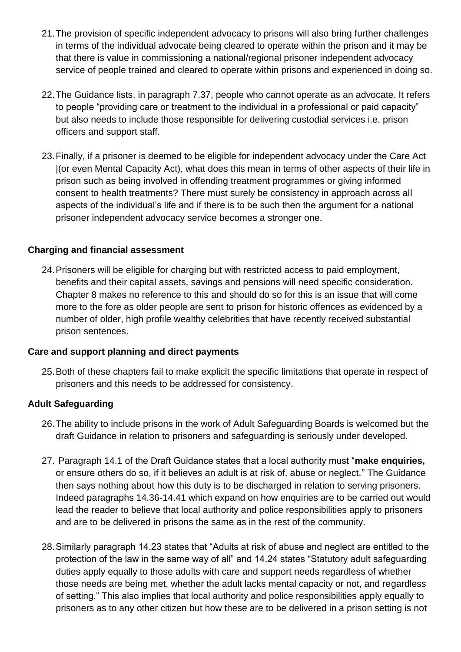- 21.The provision of specific independent advocacy to prisons will also bring further challenges in terms of the individual advocate being cleared to operate within the prison and it may be that there is value in commissioning a national/regional prisoner independent advocacy service of people trained and cleared to operate within prisons and experienced in doing so.
- 22.The Guidance lists, in paragraph 7.37, people who cannot operate as an advocate. It refers to people "providing care or treatment to the individual in a professional or paid capacity" but also needs to include those responsible for delivering custodial services i.e. prison officers and support staff.
- 23.Finally, if a prisoner is deemed to be eligible for independent advocacy under the Care Act |(or even Mental Capacity Act), what does this mean in terms of other aspects of their life in prison such as being involved in offending treatment programmes or giving informed consent to health treatments? There must surely be consistency in approach across all aspects of the individual's life and if there is to be such then the argument for a national prisoner independent advocacy service becomes a stronger one.

### **Charging and financial assessment**

24.Prisoners will be eligible for charging but with restricted access to paid employment, benefits and their capital assets, savings and pensions will need specific consideration. Chapter 8 makes no reference to this and should do so for this is an issue that will come more to the fore as older people are sent to prison for historic offences as evidenced by a number of older, high profile wealthy celebrities that have recently received substantial prison sentences.

## **Care and support planning and direct payments**

25.Both of these chapters fail to make explicit the specific limitations that operate in respect of prisoners and this needs to be addressed for consistency.

## **Adult Safeguarding**

- 26.The ability to include prisons in the work of Adult Safeguarding Boards is welcomed but the draft Guidance in relation to prisoners and safeguarding is seriously under developed.
- 27. Paragraph 14.1 of the Draft Guidance states that a local authority must "**make enquiries,**  or ensure others do so, if it believes an adult is at risk of, abuse or neglect." The Guidance then says nothing about how this duty is to be discharged in relation to serving prisoners. Indeed paragraphs 14.36-14.41 which expand on how enquiries are to be carried out would lead the reader to believe that local authority and police responsibilities apply to prisoners and are to be delivered in prisons the same as in the rest of the community.
- 28.Similarly paragraph 14.23 states that "Adults at risk of abuse and neglect are entitled to the protection of the law in the same way of all" and 14.24 states "Statutory adult safeguarding duties apply equally to those adults with care and support needs regardless of whether those needs are being met, whether the adult lacks mental capacity or not, and regardless of setting." This also implies that local authority and police responsibilities apply equally to prisoners as to any other citizen but how these are to be delivered in a prison setting is not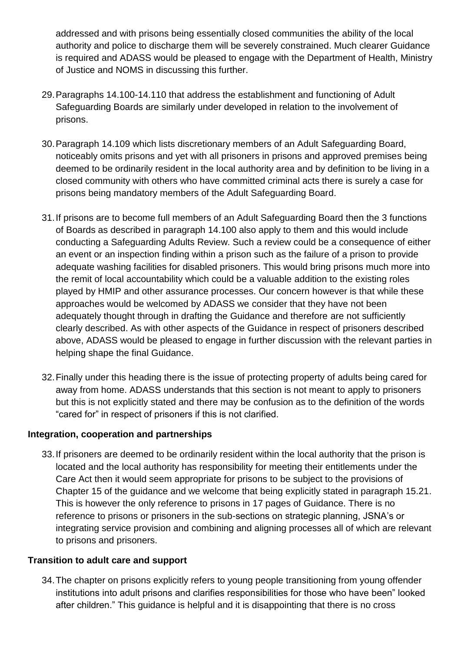addressed and with prisons being essentially closed communities the ability of the local authority and police to discharge them will be severely constrained. Much clearer Guidance is required and ADASS would be pleased to engage with the Department of Health, Ministry of Justice and NOMS in discussing this further.

- 29.Paragraphs 14.100-14.110 that address the establishment and functioning of Adult Safeguarding Boards are similarly under developed in relation to the involvement of prisons.
- 30.Paragraph 14.109 which lists discretionary members of an Adult Safeguarding Board, noticeably omits prisons and yet with all prisoners in prisons and approved premises being deemed to be ordinarily resident in the local authority area and by definition to be living in a closed community with others who have committed criminal acts there is surely a case for prisons being mandatory members of the Adult Safeguarding Board.
- 31.If prisons are to become full members of an Adult Safeguarding Board then the 3 functions of Boards as described in paragraph 14.100 also apply to them and this would include conducting a Safeguarding Adults Review. Such a review could be a consequence of either an event or an inspection finding within a prison such as the failure of a prison to provide adequate washing facilities for disabled prisoners. This would bring prisons much more into the remit of local accountability which could be a valuable addition to the existing roles played by HMIP and other assurance processes. Our concern however is that while these approaches would be welcomed by ADASS we consider that they have not been adequately thought through in drafting the Guidance and therefore are not sufficiently clearly described. As with other aspects of the Guidance in respect of prisoners described above, ADASS would be pleased to engage in further discussion with the relevant parties in helping shape the final Guidance.
- 32.Finally under this heading there is the issue of protecting property of adults being cared for away from home. ADASS understands that this section is not meant to apply to prisoners but this is not explicitly stated and there may be confusion as to the definition of the words "cared for" in respect of prisoners if this is not clarified.

## **Integration, cooperation and partnerships**

33.If prisoners are deemed to be ordinarily resident within the local authority that the prison is located and the local authority has responsibility for meeting their entitlements under the Care Act then it would seem appropriate for prisons to be subject to the provisions of Chapter 15 of the guidance and we welcome that being explicitly stated in paragraph 15.21. This is however the only reference to prisons in 17 pages of Guidance. There is no reference to prisons or prisoners in the sub-sections on strategic planning, JSNA's or integrating service provision and combining and aligning processes all of which are relevant to prisons and prisoners.

### **Transition to adult care and support**

34.The chapter on prisons explicitly refers to young people transitioning from young offender institutions into adult prisons and clarifies responsibilities for those who have been" looked after children." This guidance is helpful and it is disappointing that there is no cross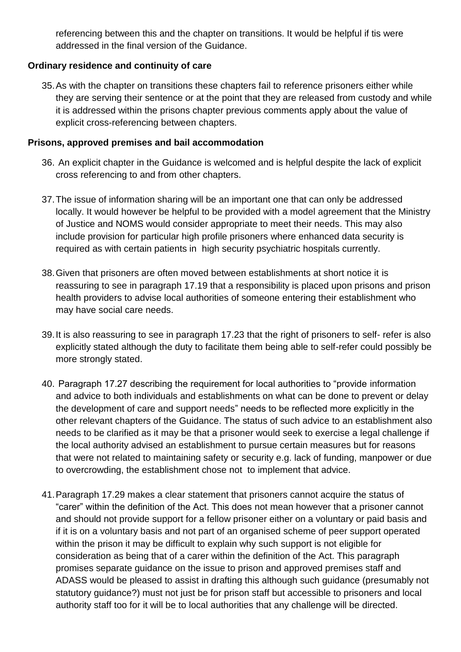referencing between this and the chapter on transitions. It would be helpful if tis were addressed in the final version of the Guidance.

# **Ordinary residence and continuity of care**

35.As with the chapter on transitions these chapters fail to reference prisoners either while they are serving their sentence or at the point that they are released from custody and while it is addressed within the prisons chapter previous comments apply about the value of explicit cross-referencing between chapters.

### **Prisons, approved premises and bail accommodation**

- 36. An explicit chapter in the Guidance is welcomed and is helpful despite the lack of explicit cross referencing to and from other chapters.
- 37.The issue of information sharing will be an important one that can only be addressed locally. It would however be helpful to be provided with a model agreement that the Ministry of Justice and NOMS would consider appropriate to meet their needs. This may also include provision for particular high profile prisoners where enhanced data security is required as with certain patients in high security psychiatric hospitals currently.
- 38.Given that prisoners are often moved between establishments at short notice it is reassuring to see in paragraph 17.19 that a responsibility is placed upon prisons and prison health providers to advise local authorities of someone entering their establishment who may have social care needs.
- 39.It is also reassuring to see in paragraph 17.23 that the right of prisoners to self- refer is also explicitly stated although the duty to facilitate them being able to self-refer could possibly be more strongly stated.
- 40. Paragraph 17.27 describing the requirement for local authorities to "provide information and advice to both individuals and establishments on what can be done to prevent or delay the development of care and support needs" needs to be reflected more explicitly in the other relevant chapters of the Guidance. The status of such advice to an establishment also needs to be clarified as it may be that a prisoner would seek to exercise a legal challenge if the local authority advised an establishment to pursue certain measures but for reasons that were not related to maintaining safety or security e.g. lack of funding, manpower or due to overcrowding, the establishment chose not to implement that advice.
- 41.Paragraph 17.29 makes a clear statement that prisoners cannot acquire the status of "carer" within the definition of the Act. This does not mean however that a prisoner cannot and should not provide support for a fellow prisoner either on a voluntary or paid basis and if it is on a voluntary basis and not part of an organised scheme of peer support operated within the prison it may be difficult to explain why such support is not eligible for consideration as being that of a carer within the definition of the Act. This paragraph promises separate guidance on the issue to prison and approved premises staff and ADASS would be pleased to assist in drafting this although such guidance (presumably not statutory guidance?) must not just be for prison staff but accessible to prisoners and local authority staff too for it will be to local authorities that any challenge will be directed.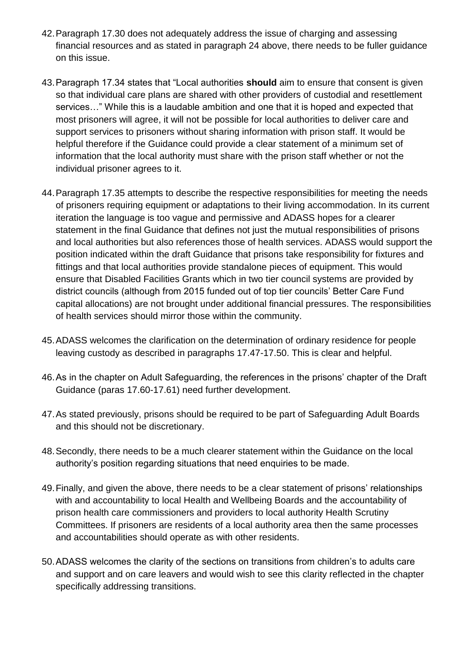- 42.Paragraph 17.30 does not adequately address the issue of charging and assessing financial resources and as stated in paragraph 24 above, there needs to be fuller guidance on this issue.
- 43.Paragraph 17.34 states that "Local authorities **should** aim to ensure that consent is given so that individual care plans are shared with other providers of custodial and resettlement services…" While this is a laudable ambition and one that it is hoped and expected that most prisoners will agree, it will not be possible for local authorities to deliver care and support services to prisoners without sharing information with prison staff. It would be helpful therefore if the Guidance could provide a clear statement of a minimum set of information that the local authority must share with the prison staff whether or not the individual prisoner agrees to it.
- 44.Paragraph 17.35 attempts to describe the respective responsibilities for meeting the needs of prisoners requiring equipment or adaptations to their living accommodation. In its current iteration the language is too vague and permissive and ADASS hopes for a clearer statement in the final Guidance that defines not just the mutual responsibilities of prisons and local authorities but also references those of health services. ADASS would support the position indicated within the draft Guidance that prisons take responsibility for fixtures and fittings and that local authorities provide standalone pieces of equipment. This would ensure that Disabled Facilities Grants which in two tier council systems are provided by district councils (although from 2015 funded out of top tier councils' Better Care Fund capital allocations) are not brought under additional financial pressures. The responsibilities of health services should mirror those within the community.
- 45.ADASS welcomes the clarification on the determination of ordinary residence for people leaving custody as described in paragraphs 17.47-17.50. This is clear and helpful.
- 46.As in the chapter on Adult Safeguarding, the references in the prisons' chapter of the Draft Guidance (paras 17.60-17.61) need further development.
- 47.As stated previously, prisons should be required to be part of Safeguarding Adult Boards and this should not be discretionary.
- 48.Secondly, there needs to be a much clearer statement within the Guidance on the local authority's position regarding situations that need enquiries to be made.
- 49.Finally, and given the above, there needs to be a clear statement of prisons' relationships with and accountability to local Health and Wellbeing Boards and the accountability of prison health care commissioners and providers to local authority Health Scrutiny Committees. If prisoners are residents of a local authority area then the same processes and accountabilities should operate as with other residents.
- 50.ADASS welcomes the clarity of the sections on transitions from children's to adults care and support and on care leavers and would wish to see this clarity reflected in the chapter specifically addressing transitions.